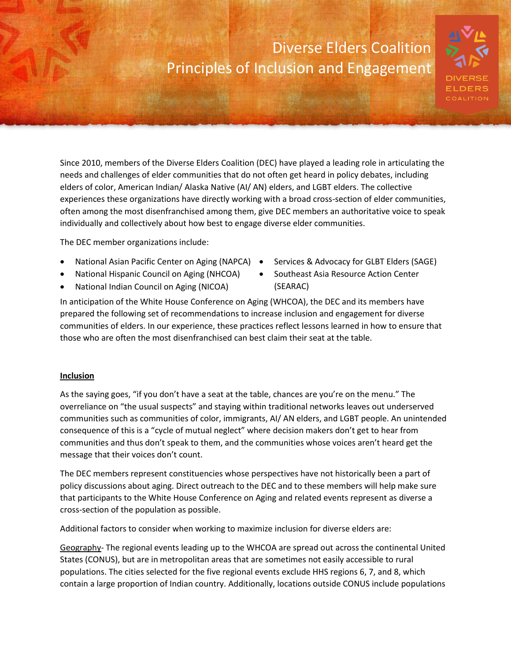## Diverse Elders Coalition Principles of Inclusion and Engagement



Since 2010, members of the Diverse Elders Coalition (DEC) have played a leading role in articulating the needs and challenges of elder communities that do not often get heard in policy debates, including elders of color, American Indian/ Alaska Native (AI/ AN) elders, and LGBT elders. The collective experiences these organizations have directly working with a broad cross-section of elder communities, often among the most disenfranchised among them, give DEC members an authoritative voice to speak individually and collectively about how best to engage diverse elder communities.

The DEC member organizations include:

- National Asian Pacific Center on Aging (NAPCA) .
- National Hispanic Council on Aging (NHCOA)
- National Indian Council on Aging (NICOA)
- Services & Advocacy for GLBT Elders (SAGE)
- Southeast Asia Resource Action Center (SEARAC)

In anticipation of the White House Conference on Aging (WHCOA), the DEC and its members have prepared the following set of recommendations to increase inclusion and engagement for diverse communities of elders. In our experience, these practices reflect lessons learned in how to ensure that those who are often the most disenfranchised can best claim their seat at the table.

### **Inclusion**

As the saying goes, "if you don't have a seat at the table, chances are you're on the menu." The overreliance on "the usual suspects" and staying within traditional networks leaves out underserved communities such as communities of color, immigrants, AI/ AN elders, and LGBT people. An unintended consequence of this is a "cycle of mutual neglect" where decision makers don't get to hear from communities and thus don't speak to them, and the communities whose voices aren't heard get the message that their voices don't count.

The DEC members represent constituencies whose perspectives have not historically been a part of policy discussions about aging. Direct outreach to the DEC and to these members will help make sure that participants to the White House Conference on Aging and related events represent as diverse a cross-section of the population as possible.

Additional factors to consider when working to maximize inclusion for diverse elders are:

Geography- The regional events leading up to the WHCOA are spread out across the continental United States (CONUS), but are in metropolitan areas that are sometimes not easily accessible to rural populations. The cities selected for the five regional events exclude HHS regions 6, 7, and 8, which contain a large proportion of Indian country. Additionally, locations outside CONUS include populations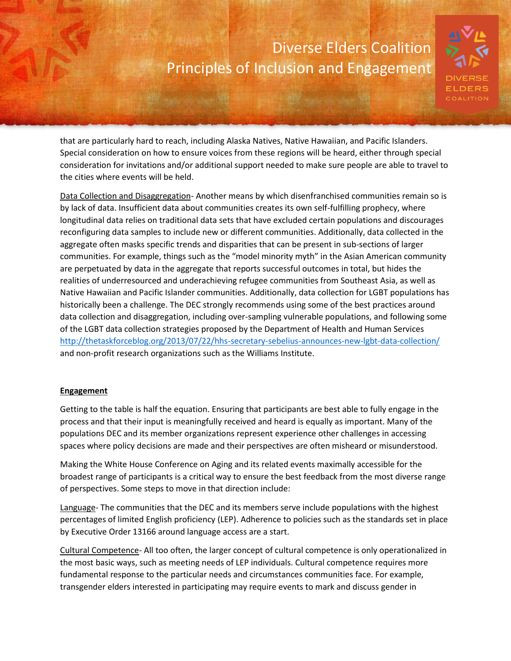### Diverse Elders Coalition Principles of Inclusion and Engagement



that are particularly hard to reach, including Alaska Natives, Native Hawaiian, and Pacific Islanders. Special consideration on how to ensure voices from these regions will be heard, either through special consideration for invitations and/or additional support needed to make sure people are able to travel to the cities where events will be held.

Data Collection and Disaggregation- Another means by which disenfranchised communities remain so is by lack of data. Insufficient data about communities creates its own self-fulfilling prophecy, where longitudinal data relies on traditional data sets that have excluded certain populations and discourages reconfiguring data samples to include new or different communities. Additionally, data collected in the aggregate often masks specific trends and disparities that can be present in sub-sections of larger communities. For example, things such as the "model minority myth" in the Asian American community are perpetuated by data in the aggregate that reports successful outcomes in total, but hides the realities of underresourced and underachieving refugee communities from Southeast Asia, as well as Native Hawaiian and Pacific Islander communities. Additionally, data collection for LGBT populations has historically been a challenge. The DEC strongly recommends using some of the best practices around data collection and disaggregation, including over-sampling vulnerable populations, and following some of the LGBT data collection strategies proposed by the Department of Health and Human Services <http://thetaskforceblog.org/2013/07/22/hhs-secretary-sebelius-announces-new-lgbt-data-collection/> and non-profit research organizations such as the Williams Institute.

#### **Engagement**

Getting to the table is half the equation. Ensuring that participants are best able to fully engage in the process and that their input is meaningfully received and heard is equally as important. Many of the populations DEC and its member organizations represent experience other challenges in accessing spaces where policy decisions are made and their perspectives are often misheard or misunderstood.

Making the White House Conference on Aging and its related events maximally accessible for the broadest range of participants is a critical way to ensure the best feedback from the most diverse range of perspectives. Some steps to move in that direction include:

Language- The communities that the DEC and its members serve include populations with the highest percentages of limited English proficiency (LEP). Adherence to policies such as the standards set in place by Executive Order 13166 around language access are a start.

Cultural Competence- All too often, the larger concept of cultural competence is only operationalized in the most basic ways, such as meeting needs of LEP individuals. Cultural competence requires more fundamental response to the particular needs and circumstances communities face. For example, transgender elders interested in participating may require events to mark and discuss gender in